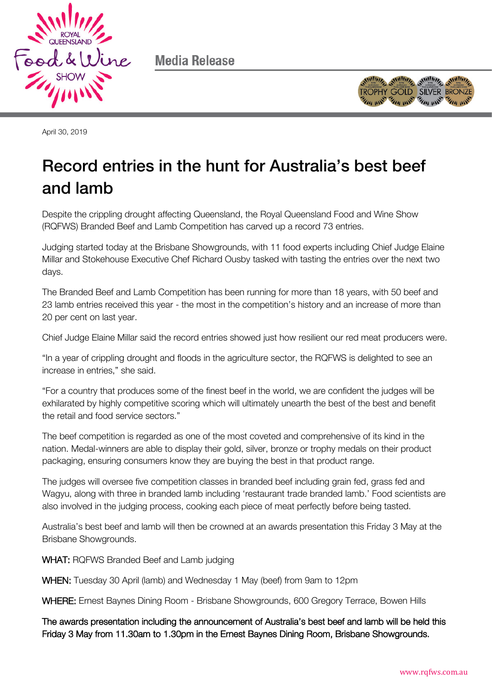

Media Release



April 30, 2019

## Record entries in the hunt for Australia's best beef and lamb

Despite the crippling drought affecting Queensland, the Royal Queensland Food and Wine Show (RQFWS) Branded Beef and Lamb Competition has carved up a record 73 entries.

Judging started today at the Brisbane Showgrounds, with 11 food experts including Chief Judge Elaine Millar and Stokehouse Executive Chef Richard Ousby tasked with tasting the entries over the next two days.

The Branded Beef and Lamb Competition has been running for more than 18 years, with 50 beef and 23 lamb entries received this year - the most in the competition's history and an increase of more than 20 per cent on last year.

Chief Judge Elaine Millar said the record entries showed just how resilient our red meat producers were.

"In a year of crippling drought and floods in the agriculture sector, the RQFWS is delighted to see an increase in entries," she said.

"For a country that produces some of the finest beef in the world, we are confident the judges will be exhilarated by highly competitive scoring which will ultimately unearth the best of the best and benefit the retail and food service sectors."

The beef competition is regarded as one of the most coveted and comprehensive of its kind in the nation. Medal-winners are able to display their gold, silver, bronze or trophy medals on their product packaging, ensuring consumers know they are buying the best in that product range.

The judges will oversee five competition classes in branded beef including grain fed, grass fed and Wagyu, along with three in branded lamb including 'restaurant trade branded lamb.' Food scientists are also involved in the judging process, cooking each piece of meat perfectly before being tasted.

Australia's best beef and lamb will then be crowned at an awards presentation this Friday 3 May at the Brisbane Showgrounds.

WHAT: RQFWS Branded Beef and Lamb judging

WHEN: Tuesday 30 April (lamb) and Wednesday 1 May (beef) from 9am to 12pm

WHERE: Ernest Baynes Dining Room - Brisbane Showgrounds, 600 Gregory Terrace, Bowen Hills

The awards presentation including the announcement of Australia's best beef and lamb will be held this Friday 3 May from 11.30am to 1.30pm in the Ernest Baynes Dining Room, Brisbane Showgrounds.